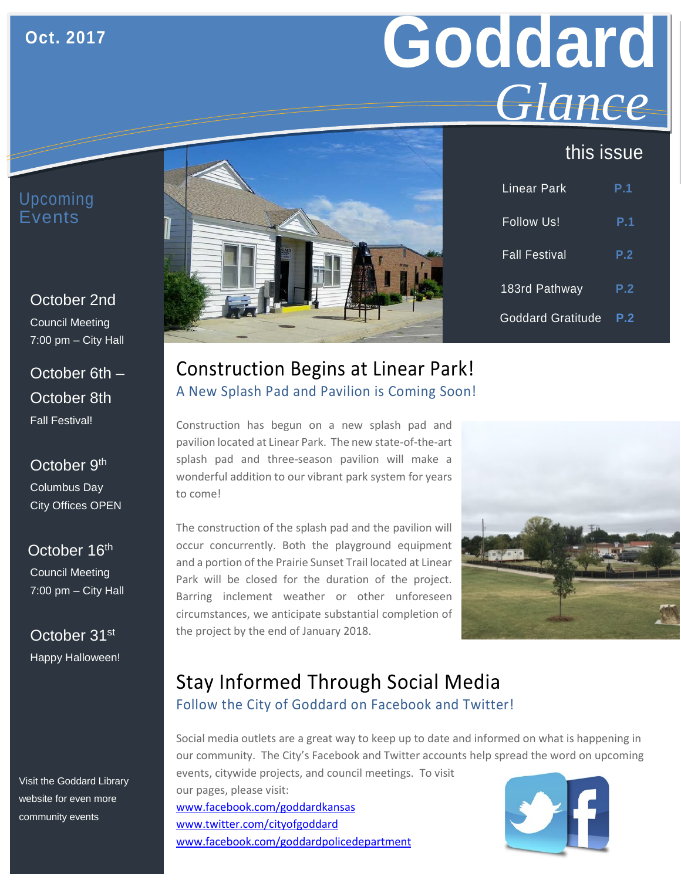#### **Oct. 2017**

# **Goddard** *Glance*

# this issue

#### Upcoming Events

October 2nd Council Meeting 7:00 pm – City Hall

October 6th – October 8th Fall Festival!

#### October 9<sup>th</sup> Columbus Day City Offices OPEN

October 16<sup>th</sup> Council Meeting 7:00 pm – City Hall

October 31st Happy Halloween!

Visit the Goddard Library website for even more community events



| <b>Linear Park</b>       | <b>P.1</b> |
|--------------------------|------------|
| <b>Follow Us!</b>        | P.1        |
| <b>Fall Festival</b>     | P.2        |
| 183rd Pathway            | P.2        |
| <b>Goddard Gratitude</b> | P.2        |

### Construction Begins at Linear Park! A New Splash Pad and Pavilion is Coming Soon!

Construction has begun on a new splash pad and pavilion located at Linear Park. The new state-of-the-art splash pad and three-season pavilion will make a wonderful addition to our vibrant park system for years to come!

The construction of the splash pad and the pavilion will occur concurrently. Both the playground equipment and a portion of the Prairie Sunset Trail located at Linear Park will be closed for the duration of the project. Barring inclement weather or other unforeseen circumstances, we anticipate substantial completion of the project by the end of January 2018.



# Stay Informed Through Social Media Follow the City of Goddard on Facebook and Twitter!

Social media outlets are a great way to keep up to date and informed on what is happening in our community. The City's Facebook and Twitter accounts help spread the word on upcoming

events, citywide projects, and council meetings. To visit our pages, please visit: [www.facebook.com/goddardkansas](http://www.facebook.com/goddardkansas) [www.twitter.com/cityofgoddard](http://www.twitter.com/cityofgoddard) www.facebook.com/goddardpolicedepartment